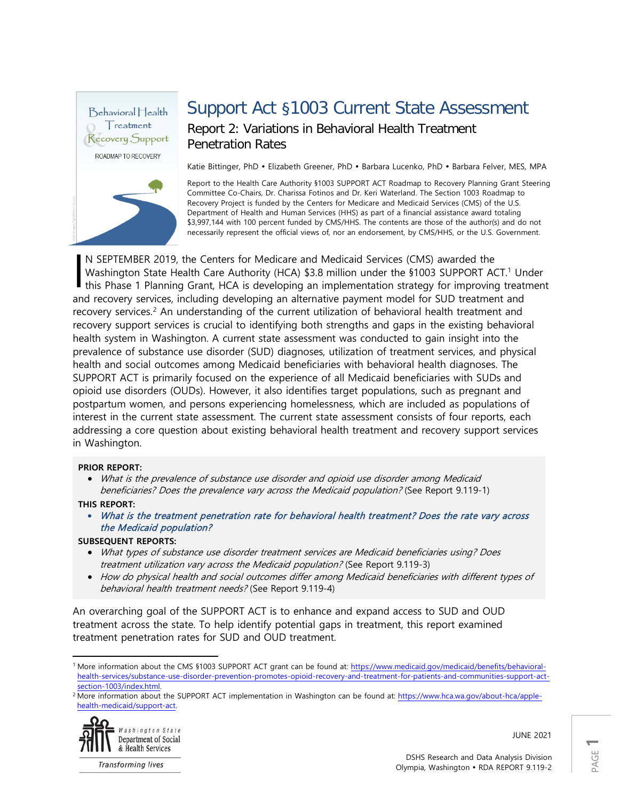

# Support Act §1003 Current State Assessment

### Report 2: Variations in Behavioral Health Treatment Penetration Rates

Katie Bittinger, PhD · Elizabeth Greener, PhD · Barbara Lucenko, PhD · Barbara Felver, MES, MPA

Report to the Health Care Authority §1003 SUPPORT ACT Roadmap to Recovery Planning Grant Steering Committee Co-Chairs, Dr. Charissa Fotinos and Dr. Keri Waterland. The Section 1003 Roadmap to Recovery Project is funded by the Centers for Medicare and Medicaid Services (CMS) of the U.S. Department of Health and Human Services (HHS) as part of a financial assistance award totaling \$3,997,144 with 100 percent funded by CMS/HHS. The contents are those of the author(s) and do not necessarily represent the official views of, nor an endorsement, by CMS/HHS, or the U.S. Government.

N SEPTEMBER 2019, the Centers for Medicare and Medicaid Services (CMS) awarded the Washington State Health Care Authority (HCA) \$3.8 million under the §[1](#page-0-0)003 SUPPORT ACT.<sup>1</sup> Under N SEPTEMBER 2019, the Centers for Medicare and Medicaid Services (CMS) awarded the<br>Washington State Health Care Authority (HCA) \$3.8 million under the \$1003 SUPPORT ACT.<sup>1</sup> Under<br>this Phase 1 Planning Grant, HCA is develop and recovery services, including developing an alternative payment model for SUD treatment and recovery services.<sup>[2](#page-0-1)</sup> An understanding of the current utilization of behavioral health treatment and recovery support services is crucial to identifying both strengths and gaps in the existing behavioral health system in Washington. A current state assessment was conducted to gain insight into the prevalence of substance use disorder (SUD) diagnoses, utilization of treatment services, and physical health and social outcomes among Medicaid beneficiaries with behavioral health diagnoses. The SUPPORT ACT is primarily focused on the experience of all Medicaid beneficiaries with SUDs and opioid use disorders (OUDs). However, it also identifies target populations, such as pregnant and postpartum women, and persons experiencing homelessness, which are included as populations of interest in the current state assessment. The current state assessment consists of four reports, each addressing a core question about existing behavioral health treatment and recovery support services in Washington.

#### **PRIOR REPORT:**

• What is the prevalence of substance use disorder and opioid use disorder among Medicaid beneficiaries? Does the prevalence vary across the Medicaid population? (See Report 9.119-1)

### **THIS REPORT:**

• What is the treatment penetration rate for behavioral health treatment? Does the rate vary across the Medicaid population?

### **SUBSEQUENT REPORTS:**

- What types of substance use disorder treatment services are Medicaid beneficiaries using? Does treatment utilization vary across the Medicaid population? (See Report 9.119-3)
- How do physical health and social outcomes differ among Medicaid beneficiaries with different types of behavioral health treatment needs? (See Report 9.119-4)

An overarching goal of the SUPPORT ACT is to enhance and expand access to SUD and OUD treatment across the state. To help identify potential gaps in treatment, this report examined treatment penetration rates for SUD and OUD treatment.

<span id="page-0-1"></span><sup>&</sup>lt;sup>2</sup> More information about the SUPPORT ACT implementation in Washington can be found at[: https://www.hca.wa.gov/about-hca/apple](https://www.hca.wa.gov/about-hca/apple-health-medicaid/support-act)[health-medicaid/support-act.](https://www.hca.wa.gov/about-hca/apple-health-medicaid/support-act)



**Transforming lives** 

JUNE 2021

<span id="page-0-0"></span> $\overline{\phantom{a}}$ <sup>1</sup> More information about the CMS §1003 SUPPORT ACT grant can be found at: [https://www.medicaid.gov/medicaid/benefits/behavioral](https://www.medicaid.gov/medicaid/benefits/behavioral-health-services/substance-use-disorder-prevention-promotes-opioid-recovery-and-treatment-for-patients-and-communities-support-act-section-1003/index.html)[health-services/substance-use-disorder-prevention-promotes-opioid-recovery-and-treatment-for-patients-and-communities-support-act](https://www.medicaid.gov/medicaid/benefits/behavioral-health-services/substance-use-disorder-prevention-promotes-opioid-recovery-and-treatment-for-patients-and-communities-support-act-section-1003/index.html)[section-1003/index.html.](https://www.medicaid.gov/medicaid/benefits/behavioral-health-services/substance-use-disorder-prevention-promotes-opioid-recovery-and-treatment-for-patients-and-communities-support-act-section-1003/index.html)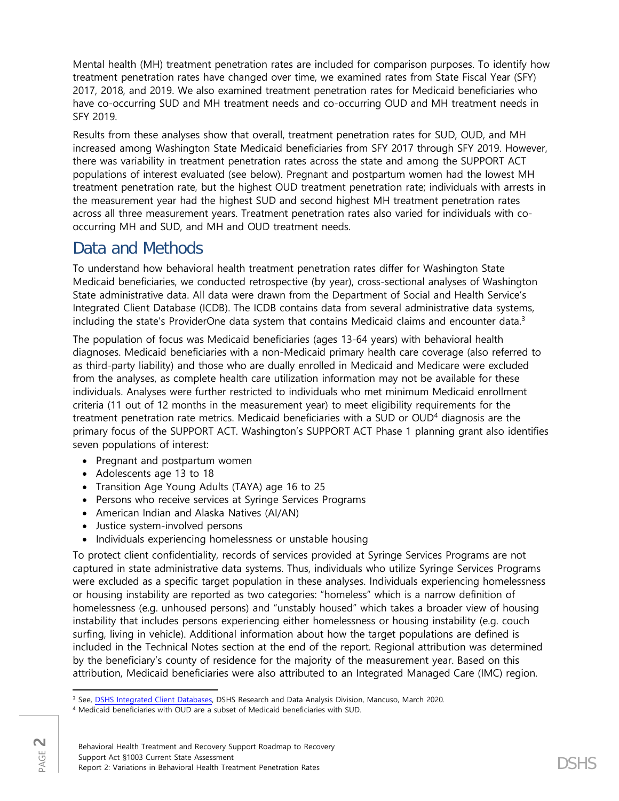Mental health (MH) treatment penetration rates are included for comparison purposes. To identify how treatment penetration rates have changed over time, we examined rates from State Fiscal Year (SFY) 2017, 2018, and 2019. We also examined treatment penetration rates for Medicaid beneficiaries who have co-occurring SUD and MH treatment needs and co-occurring OUD and MH treatment needs in SFY 2019.

Results from these analyses show that overall, treatment penetration rates for SUD, OUD, and MH increased among Washington State Medicaid beneficiaries from SFY 2017 through SFY 2019. However, there was variability in treatment penetration rates across the state and among the SUPPORT ACT populations of interest evaluated (see below). Pregnant and postpartum women had the lowest MH treatment penetration rate, but the highest OUD treatment penetration rate; individuals with arrests in the measurement year had the highest SUD and second highest MH treatment penetration rates across all three measurement years. Treatment penetration rates also varied for individuals with cooccurring MH and SUD, and MH and OUD treatment needs.

# Data and Methods

To understand how behavioral health treatment penetration rates differ for Washington State Medicaid beneficiaries, we conducted retrospective (by year), cross-sectional analyses of Washington State administrative data. All data were drawn from the Department of Social and Health Service's Integrated Client Database (ICDB). The ICDB contains data from several administrative data systems, including the state's ProviderOne data system that contains Medicaid claims and encounter data.<sup>3</sup>

The population of focus was Medicaid beneficiaries (ages 13-64 years) with behavioral health diagnoses. Medicaid beneficiaries with a non-Medicaid primary health care coverage (also referred to as third-party liability) and those who are dually enrolled in Medicaid and Medicare were excluded from the analyses, as complete health care utilization information may not be available for these individuals. Analyses were further restricted to individuals who met minimum Medicaid enrollment criteria (11 out of 12 months in the measurement year) to meet eligibility requirements for the treatment penetration rate metrics. Medicaid beneficiaries with a SUD or OUD[4](#page-1-1) diagnosis are the primary focus of the SUPPORT ACT. Washington's SUPPORT ACT Phase 1 planning grant also identifies seven populations of interest:

- Pregnant and postpartum women
- Adolescents age 13 to 18
- Transition Age Young Adults (TAYA) age 16 to 25
- Persons who receive services at Syringe Services Programs
- American Indian and Alaska Natives (AI/AN)
- Justice system-involved persons
- Individuals experiencing homelessness or unstable housing

To protect client confidentiality, records of services provided at Syringe Services Programs are not captured in state administrative data systems. Thus, individuals who utilize Syringe Services Programs were excluded as a specific target population in these analyses. Individuals experiencing homelessness or housing instability are reported as two categories: "homeless" which is a narrow definition of homelessness (e.g. unhoused persons) and "unstably housed" which takes a broader view of housing instability that includes persons experiencing either homelessness or housing instability (e.g. couch surfing, living in vehicle). Additional information about how the target populations are defined is included in the Technical Notes section at the end of the report. Regional attribution was determined by the beneficiary's county of residence for the majority of the measurement year. Based on this attribution, Medicaid beneficiaries were also attributed to an Integrated Managed Care (IMC) region.

 $\overline{\phantom{a}}$ <sup>3</sup> See, [DSHS Integrated Client Databases,](https://www.dshs.wa.gov/ffa/rda/research-reports/dshs-integrated-client-databases) DSHS Research and Data Analysis Division, Mancuso, March 2020.

<span id="page-1-1"></span><span id="page-1-0"></span><sup>4</sup> Medicaid beneficiaries with OUD are a subset of Medicaid beneficiaries with SUD.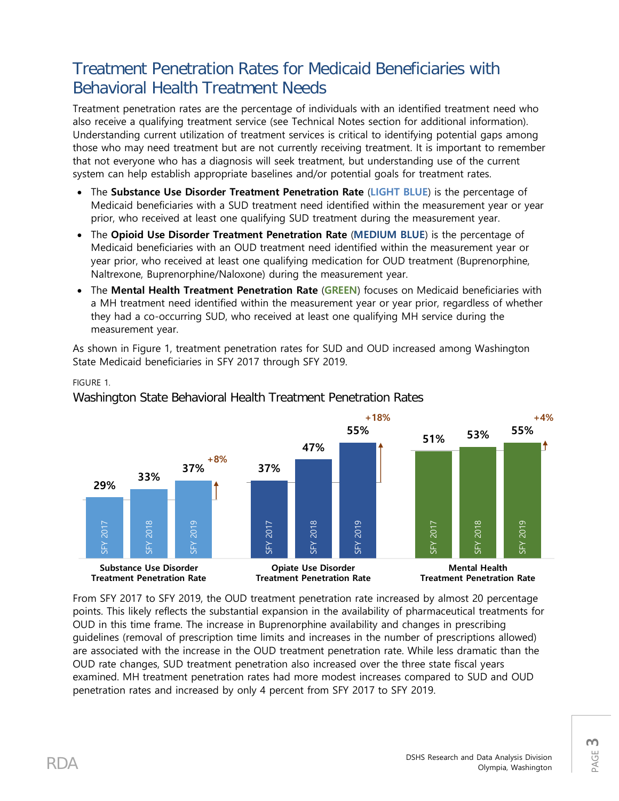# Treatment Penetration Rates for Medicaid Beneficiaries with Behavioral Health Treatment Needs

Treatment penetration rates are the percentage of individuals with an identified treatment need who also receive a qualifying treatment service (see Technical Notes section for additional information). Understanding current utilization of treatment services is critical to identifying potential gaps among those who may need treatment but are not currently receiving treatment. It is important to remember that not everyone who has a diagnosis will seek treatment, but understanding use of the current system can help establish appropriate baselines and/or potential goals for treatment rates.

- The **Substance Use Disorder Treatment Penetration Rate** (**LIGHT BLUE**) is the percentage of Medicaid beneficiaries with a SUD treatment need identified within the measurement year or year prior, who received at least one qualifying SUD treatment during the measurement year.
- The **Opioid Use Disorder Treatment Penetration Rate** (**MEDIUM BLUE**) is the percentage of Medicaid beneficiaries with an OUD treatment need identified within the measurement year or year prior, who received at least one qualifying medication for OUD treatment (Buprenorphine, Naltrexone, Buprenorphine/Naloxone) during the measurement year.
- The **Mental Health Treatment Penetration Rate** (**GREEN**) focuses on Medicaid beneficiaries with a MH treatment need identified within the measurement year or year prior, regardless of whether they had a co-occurring SUD, who received at least one qualifying MH service during the measurement year.

As shown in Figure 1, treatment penetration rates for SUD and OUD increased among Washington State Medicaid beneficiaries in SFY 2017 through SFY 2019.

**+18% +4% 53% 55% 55% 51% 47% +8% 37% 37% 33% 29%** SFY 2019 2018 SFY 2019 SFY 2019 2018 2019 2017 2018 2019 2019 2017 SFY 2017 SFY 2018 SFY 2017 SFY 2018 2017 SFY 2017 SFY 2018 λEΣ λEΣ λEΣ **A<sub>3</sub>S** λEΣ 집 **Substance Use Disorder Opiate Use Disorder Mental Health Treatment Penetration Rate Treatment Penetration Rate Treatment Penetration Rate**

Washington State Behavioral Health Treatment Penetration Rates

From SFY 2017 to SFY 2019, the OUD treatment penetration rate increased by almost 20 percentage points. This likely reflects the substantial expansion in the availability of pharmaceutical treatments for OUD in this time frame. The increase in Buprenorphine availability and changes in prescribing guidelines (removal of prescription time limits and increases in the number of prescriptions allowed) are associated with the increase in the OUD treatment penetration rate. While less dramatic than the OUD rate changes, SUD treatment penetration also increased over the three state fiscal years examined. MH treatment penetration rates had more modest increases compared to SUD and OUD penetration rates and increased by only 4 percent from SFY 2017 to SFY 2019.

FIGURE 1.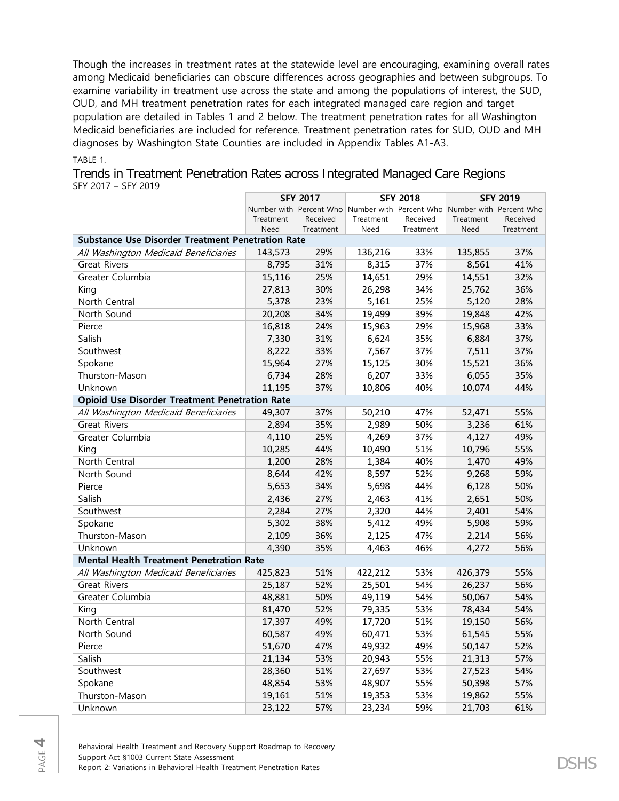Though the increases in treatment rates at the statewide level are encouraging, examining overall rates among Medicaid beneficiaries can obscure differences across geographies and between subgroups. To examine variability in treatment use across the state and among the populations of interest, the SUD, OUD, and MH treatment penetration rates for each integrated managed care region and target population are detailed in Tables 1 and 2 below. The treatment penetration rates for all Washington Medicaid beneficiaries are included for reference. Treatment penetration rates for SUD, OUD and MH diagnoses by Washington State Counties are included in Appendix Tables A1-A3.

TABLE 1.

|                                                          |           | <b>SFY 2017</b> |                                                 | <b>SFY 2018</b> | <b>SFY 2019</b>         |           |
|----------------------------------------------------------|-----------|-----------------|-------------------------------------------------|-----------------|-------------------------|-----------|
|                                                          |           |                 | Number with Percent Who Number with Percent Who |                 | Number with Percent Who |           |
|                                                          | Treatment | Received        | Treatment                                       | Received        | Treatment               | Received  |
|                                                          | Need      | Treatment       | Need                                            | Treatment       | Need                    | Treatment |
| <b>Substance Use Disorder Treatment Penetration Rate</b> |           |                 |                                                 |                 |                         |           |
| All Washington Medicaid Beneficiaries                    | 143,573   | 29%             | 136,216                                         | 33%             | 135,855                 | 37%       |
| <b>Great Rivers</b>                                      | 8,795     | 31%             | 8,315                                           | 37%             | 8,561                   | 41%       |
| Greater Columbia                                         | 15,116    | 25%             | 14,651                                          | 29%             | 14,551                  | 32%       |
| King                                                     | 27,813    | 30%             | 26,298                                          | 34%             | 25,762                  | 36%       |
| North Central                                            | 5,378     | 23%             | 5,161                                           | 25%             | 5,120                   | 28%       |
| North Sound                                              | 20,208    | 34%             | 19,499                                          | 39%             | 19,848                  | 42%       |
| Pierce                                                   | 16,818    | 24%             | 15,963                                          | 29%             | 15,968                  | 33%       |
| Salish                                                   | 7,330     | 31%             | 6,624                                           | 35%             | 6,884                   | 37%       |
| Southwest                                                | 8,222     | 33%             | 7,567                                           | 37%             | 7,511                   | 37%       |
| Spokane                                                  | 15,964    | 27%             | 15,125                                          | 30%             | 15,521                  | 36%       |
| Thurston-Mason                                           | 6,734     | 28%             | 6,207                                           | 33%             | 6,055                   | 35%       |
| Unknown                                                  | 11,195    | 37%             | 10,806                                          | 40%             | 10,074                  | 44%       |
| <b>Opioid Use Disorder Treatment Penetration Rate</b>    |           |                 |                                                 |                 |                         |           |
| All Washington Medicaid Beneficiaries                    | 49,307    | 37%             | 50,210                                          | 47%             | 52,471                  | 55%       |
| <b>Great Rivers</b>                                      | 2,894     | 35%             | 2,989                                           | 50%             | 3,236                   | 61%       |
| Greater Columbia                                         | 4,110     | 25%             | 4,269                                           | 37%             | 4,127                   | 49%       |
| King                                                     | 10,285    | 44%             | 10,490                                          | 51%             | 10,796                  | 55%       |
| North Central                                            | 1,200     | 28%             | 1,384                                           | 40%             | 1,470                   | 49%       |
| North Sound                                              | 8,644     | 42%             | 8,597                                           | 52%             | 9,268                   | 59%       |
| Pierce                                                   | 5,653     | 34%             | 5,698                                           | 44%             | 6,128                   | 50%       |
| Salish                                                   | 2,436     | 27%             | 2,463                                           | 41%             | 2,651                   | 50%       |
| Southwest                                                | 2,284     | 27%             | 2,320                                           | 44%             | 2,401                   | 54%       |
| Spokane                                                  | 5,302     | 38%             | 5,412                                           | 49%             | 5,908                   | 59%       |
| Thurston-Mason                                           | 2,109     | 36%             | 2,125                                           | 47%             | 2,214                   | 56%       |
| Unknown                                                  | 4,390     | 35%             | 4,463                                           | 46%             | 4,272                   | 56%       |
| <b>Mental Health Treatment Penetration Rate</b>          |           |                 |                                                 |                 |                         |           |
| All Washington Medicaid Beneficiaries                    | 425,823   | 51%             | 422,212                                         | 53%             | 426,379                 | 55%       |
| <b>Great Rivers</b>                                      | 25,187    | 52%             | 25,501                                          | 54%             | 26,237                  | 56%       |
| Greater Columbia                                         | 48,881    | 50%             | 49,119                                          | 54%             | 50,067                  | 54%       |
| King                                                     | 81,470    | 52%             | 79,335                                          | 53%             | 78,434                  | 54%       |
| North Central                                            | 17,397    | 49%             | 17,720                                          | 51%             | 19,150                  | 56%       |
| North Sound                                              | 60,587    | 49%             | 60,471                                          | 53%             | 61,545                  | 55%       |
| Pierce                                                   | 51,670    | 47%             | 49,932                                          | 49%             | 50,147                  | 52%       |
| Salish                                                   | 21,134    | 53%             | 20,943                                          | 55%             | 21,313                  | 57%       |
| Southwest                                                | 28,360    | 51%             | 27,697                                          | 53%             | 27,523                  | 54%       |
| Spokane                                                  | 48,854    | 53%             | 48,907                                          | 55%             | 50,398                  | 57%       |
| Thurston-Mason                                           | 19,161    | 51%             | 19,353                                          | 53%             | 19,862                  | 55%       |
| Unknown                                                  | 23,122    | 57%             | 23,234                                          | 59%             | 21,703                  | 61%       |

Behavioral Health Treatment and Recovery Support Roadmap to Recovery Support Act §1003 Current State Assessment Support Act group Current State Assessment<br>Report 2: Variations in Behavioral Health Treatment Penetration Rates DSHS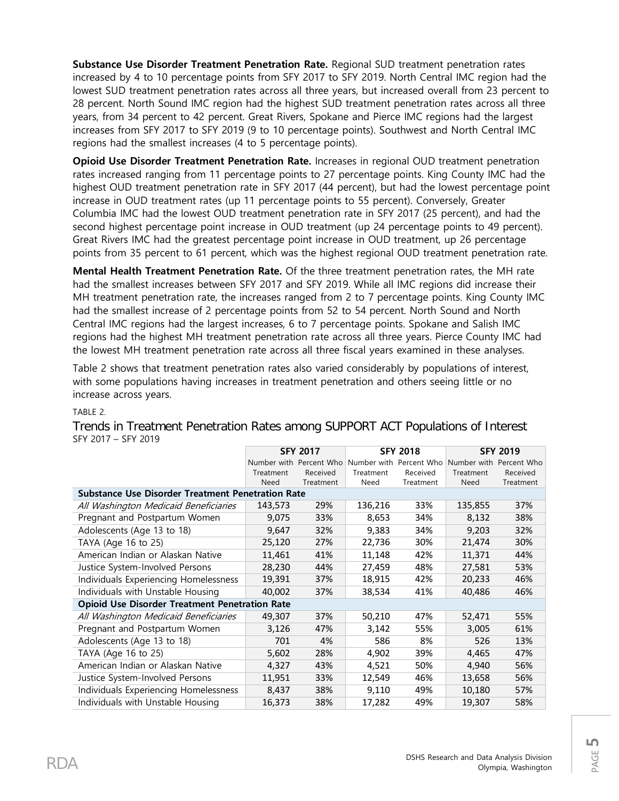**Substance Use Disorder Treatment Penetration Rate.** Regional SUD treatment penetration rates increased by 4 to 10 percentage points from SFY 2017 to SFY 2019. North Central IMC region had the lowest SUD treatment penetration rates across all three years, but increased overall from 23 percent to 28 percent. North Sound IMC region had the highest SUD treatment penetration rates across all three years, from 34 percent to 42 percent. Great Rivers, Spokane and Pierce IMC regions had the largest increases from SFY 2017 to SFY 2019 (9 to 10 percentage points). Southwest and North Central IMC regions had the smallest increases (4 to 5 percentage points).

**Opioid Use Disorder Treatment Penetration Rate.** Increases in regional OUD treatment penetration rates increased ranging from 11 percentage points to 27 percentage points. King County IMC had the highest OUD treatment penetration rate in SFY 2017 (44 percent), but had the lowest percentage point increase in OUD treatment rates (up 11 percentage points to 55 percent). Conversely, Greater Columbia IMC had the lowest OUD treatment penetration rate in SFY 2017 (25 percent), and had the second highest percentage point increase in OUD treatment (up 24 percentage points to 49 percent). Great Rivers IMC had the greatest percentage point increase in OUD treatment, up 26 percentage points from 35 percent to 61 percent, which was the highest regional OUD treatment penetration rate.

**Mental Health Treatment Penetration Rate.** Of the three treatment penetration rates, the MH rate had the smallest increases between SFY 2017 and SFY 2019. While all IMC regions did increase their MH treatment penetration rate, the increases ranged from 2 to 7 percentage points. King County IMC had the smallest increase of 2 percentage points from 52 to 54 percent. North Sound and North Central IMC regions had the largest increases, 6 to 7 percentage points. Spokane and Salish IMC regions had the highest MH treatment penetration rate across all three years. Pierce County IMC had the lowest MH treatment penetration rate across all three fiscal years examined in these analyses.

Table 2 shows that treatment penetration rates also varied considerably by populations of interest, with some populations having increases in treatment penetration and others seeing little or no increase across years.

### TABLE 2.

|                                                          | <b>SFY 2017</b> |                                                                         | <b>SFY 2018</b> |           | <b>SFY 2019</b> |           |
|----------------------------------------------------------|-----------------|-------------------------------------------------------------------------|-----------------|-----------|-----------------|-----------|
|                                                          |                 | Number with Percent Who Number with Percent Who Number with Percent Who |                 |           |                 |           |
|                                                          | Treatment       | Received                                                                | Treatment       | Received  | Treatment       | Received  |
|                                                          | Need            | Treatment                                                               | Need            | Treatment | Need            | Treatment |
| <b>Substance Use Disorder Treatment Penetration Rate</b> |                 |                                                                         |                 |           |                 |           |
| All Washington Medicaid Beneficiaries                    | 143,573         | 29%                                                                     | 136,216         | 33%       | 135,855         | 37%       |
| Pregnant and Postpartum Women                            | 9,075           | 33%                                                                     | 8,653           | 34%       | 8,132           | 38%       |
| Adolescents (Age 13 to 18)                               | 9,647           | 32%                                                                     | 9,383           | 34%       | 9,203           | 32%       |
| TAYA (Age 16 to 25)                                      | 25,120          | 27%                                                                     | 22,736          | 30%       | 21,474          | 30%       |
| American Indian or Alaskan Native                        | 11,461          | 41%                                                                     | 11,148          | 42%       | 11,371          | 44%       |
| Justice System-Involved Persons                          | 28,230          | 44%                                                                     | 27,459          | 48%       | 27,581          | 53%       |
| Individuals Experiencing Homelessness                    | 19,391          | 37%                                                                     | 18,915          | 42%       | 20,233          | 46%       |
| Individuals with Unstable Housing                        | 40,002          | 37%                                                                     | 38,534          | 41%       | 40,486          | 46%       |
| <b>Opioid Use Disorder Treatment Penetration Rate</b>    |                 |                                                                         |                 |           |                 |           |
| All Washington Medicaid Beneficiaries                    | 49,307          | 37%                                                                     | 50,210          | 47%       | 52,471          | 55%       |
| Pregnant and Postpartum Women                            | 3,126           | 47%                                                                     | 3,142           | 55%       | 3,005           | 61%       |
| Adolescents (Age 13 to 18)                               | 701             | 4%                                                                      | 586             | 8%        | 526             | 13%       |
| TAYA (Age 16 to 25)                                      | 5,602           | 28%                                                                     | 4,902           | 39%       | 4,465           | 47%       |
| American Indian or Alaskan Native                        | 4,327           | 43%                                                                     | 4,521           | 50%       | 4,940           | 56%       |
| Justice System-Involved Persons                          | 11,951          | 33%                                                                     | 12,549          | 46%       | 13,658          | 56%       |
| Individuals Experiencing Homelessness                    | 8,437           | 38%                                                                     | 9,110           | 49%       | 10,180          | 57%       |
| Individuals with Unstable Housing                        | 16,373          | 38%                                                                     | 17,282          | 49%       | 19,307          | 58%       |

### Trends in Treatment Penetration Rates among SUPPORT ACT Populations of Interest SFY 2017 – SFY 2019

PAGE **5**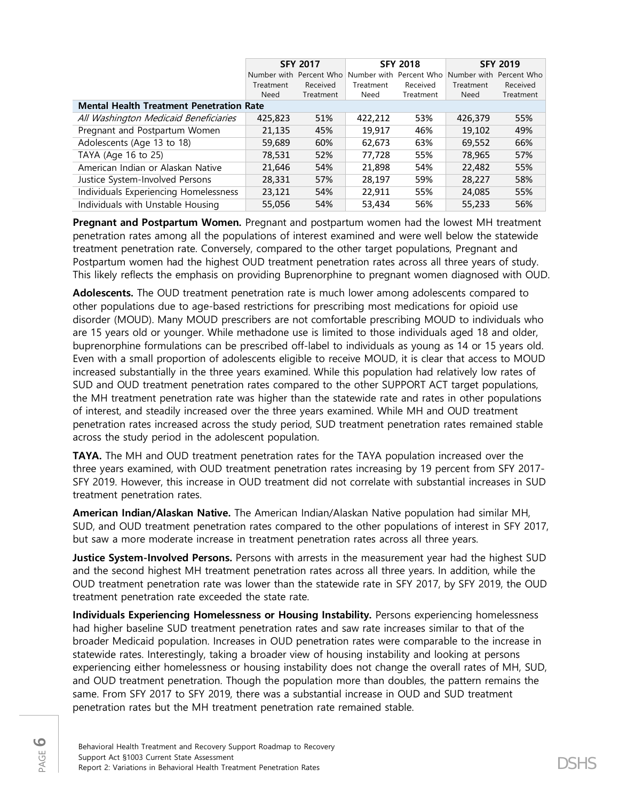|                                                 | <b>SFY 2017</b> |                                                 |           | <b>SFY 2018</b> | <b>SFY 2019</b> |             |
|-------------------------------------------------|-----------------|-------------------------------------------------|-----------|-----------------|-----------------|-------------|
|                                                 |                 | Number with Percent Who Number with Percent Who |           |                 | Number with     | Percent Who |
|                                                 | Treatment       | Received                                        | Treatment | Received        | Treatment       | Received    |
|                                                 | Need            | Treatment                                       | Need      | Treatment       | Need            | Treatment   |
| <b>Mental Health Treatment Penetration Rate</b> |                 |                                                 |           |                 |                 |             |
| All Washington Medicaid Beneficiaries           | 425,823         | 51%                                             | 422,212   | 53%             | 426,379         | 55%         |
| Pregnant and Postpartum Women                   | 21,135          | 45%                                             | 19,917    | 46%             | 19,102          | 49%         |
| Adolescents (Age 13 to 18)                      | 59,689          | 60%                                             | 62,673    | 63%             | 69,552          | 66%         |
| TAYA (Age 16 to 25)                             | 78,531          | 52%                                             | 77.728    | 55%             | 78,965          | 57%         |
| American Indian or Alaskan Native               | 21,646          | 54%                                             | 21,898    | 54%             | 22,482          | 55%         |
| Justice System-Involved Persons                 | 28,331          | 57%                                             | 28,197    | 59%             | 28,227          | 58%         |
| Individuals Experiencing Homelessness           | 23,121          | 54%                                             | 22,911    | 55%             | 24,085          | 55%         |
| Individuals with Unstable Housing               | 55,056          | 54%                                             | 53.434    | 56%             | 55,233          | 56%         |

**Pregnant and Postpartum Women.** Pregnant and postpartum women had the lowest MH treatment penetration rates among all the populations of interest examined and were well below the statewide treatment penetration rate. Conversely, compared to the other target populations, Pregnant and Postpartum women had the highest OUD treatment penetration rates across all three years of study. This likely reflects the emphasis on providing Buprenorphine to pregnant women diagnosed with OUD.

**Adolescents.** The OUD treatment penetration rate is much lower among adolescents compared to other populations due to age-based restrictions for prescribing most medications for opioid use disorder (MOUD). Many MOUD prescribers are not comfortable prescribing MOUD to individuals who are 15 years old or younger. While methadone use is limited to those individuals aged 18 and older, buprenorphine formulations can be prescribed off-label to individuals as young as 14 or 15 years old. Even with a small proportion of adolescents eligible to receive MOUD, it is clear that access to MOUD increased substantially in the three years examined. While this population had relatively low rates of SUD and OUD treatment penetration rates compared to the other SUPPORT ACT target populations, the MH treatment penetration rate was higher than the statewide rate and rates in other populations of interest, and steadily increased over the three years examined. While MH and OUD treatment penetration rates increased across the study period, SUD treatment penetration rates remained stable across the study period in the adolescent population.

**TAYA.** The MH and OUD treatment penetration rates for the TAYA population increased over the three years examined, with OUD treatment penetration rates increasing by 19 percent from SFY 2017- SFY 2019. However, this increase in OUD treatment did not correlate with substantial increases in SUD treatment penetration rates.

**American Indian/Alaskan Native.** The American Indian/Alaskan Native population had similar MH, SUD, and OUD treatment penetration rates compared to the other populations of interest in SFY 2017, but saw a more moderate increase in treatment penetration rates across all three years.

**Justice System-Involved Persons.** Persons with arrests in the measurement year had the highest SUD and the second highest MH treatment penetration rates across all three years. In addition, while the OUD treatment penetration rate was lower than the statewide rate in SFY 2017, by SFY 2019, the OUD treatment penetration rate exceeded the state rate.

**Individuals Experiencing Homelessness or Housing Instability.** Persons experiencing homelessness had higher baseline SUD treatment penetration rates and saw rate increases similar to that of the broader Medicaid population. Increases in OUD penetration rates were comparable to the increase in statewide rates. Interestingly, taking a broader view of housing instability and looking at persons experiencing either homelessness or housing instability does not change the overall rates of MH, SUD, and OUD treatment penetration. Though the population more than doubles, the pattern remains the same. From SFY 2017 to SFY 2019, there was a substantial increase in OUD and SUD treatment penetration rates but the MH treatment penetration rate remained stable.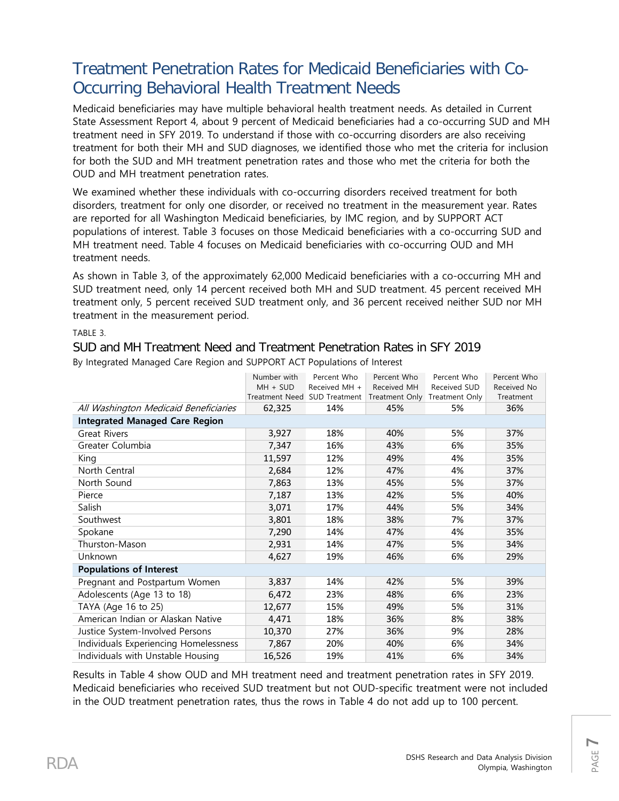# Treatment Penetration Rates for Medicaid Beneficiaries with Co-Occurring Behavioral Health Treatment Needs

Medicaid beneficiaries may have multiple behavioral health treatment needs. As detailed in Current State Assessment Report 4, about 9 percent of Medicaid beneficiaries had a co-occurring SUD and MH treatment need in SFY 2019. To understand if those with co-occurring disorders are also receiving treatment for both their MH and SUD diagnoses, we identified those who met the criteria for inclusion for both the SUD and MH treatment penetration rates and those who met the criteria for both the OUD and MH treatment penetration rates.

We examined whether these individuals with co-occurring disorders received treatment for both disorders, treatment for only one disorder, or received no treatment in the measurement year. Rates are reported for all Washington Medicaid beneficiaries, by IMC region, and by SUPPORT ACT populations of interest. Table 3 focuses on those Medicaid beneficiaries with a co-occurring SUD and MH treatment need. Table 4 focuses on Medicaid beneficiaries with co-occurring OUD and MH treatment needs.

As shown in Table 3, of the approximately 62,000 Medicaid beneficiaries with a co-occurring MH and SUD treatment need, only 14 percent received both MH and SUD treatment. 45 percent received MH treatment only, 5 percent received SUD treatment only, and 36 percent received neither SUD nor MH treatment in the measurement period.

### TABLE 3.

### SUD and MH Treatment Need and Treatment Penetration Rates in SFY 2019 By Integrated Managed Care Region and SUPPORT ACT Populations of Interest

|                                       | Number with | Percent Who                  | Percent Who | Percent Who                   | Percent Who |
|---------------------------------------|-------------|------------------------------|-------------|-------------------------------|-------------|
|                                       | $MH + SUB$  | Received MH +                | Received MH | Received SUD                  | Received No |
|                                       |             | Treatment Need SUD Treatment |             | Treatment Only Treatment Only | Treatment   |
| All Washington Medicaid Beneficiaries | 62,325      | 14%                          | 45%         | 5%                            | 36%         |
| <b>Integrated Managed Care Region</b> |             |                              |             |                               |             |
| <b>Great Rivers</b>                   | 3,927       | 18%                          | 40%         | 5%                            | 37%         |
| Greater Columbia                      | 7,347       | 16%                          | 43%         | 6%                            | 35%         |
| King                                  | 11,597      | 12%                          | 49%         | 4%                            | 35%         |
| North Central                         | 2,684       | 12%                          | 47%         | 4%                            | 37%         |
| North Sound                           | 7,863       | 13%                          | 45%         | 5%                            | 37%         |
| Pierce                                | 7,187       | 13%                          | 42%         | 5%                            | 40%         |
| Salish                                | 3,071       | 17%                          | 44%         | 5%                            | 34%         |
| Southwest                             | 3,801       | 18%                          | 38%         | 7%                            | 37%         |
| Spokane                               | 7,290       | 14%                          | 47%         | 4%                            | 35%         |
| Thurston-Mason                        | 2,931       | 14%                          | 47%         | 5%                            | 34%         |
| <b>Unknown</b>                        | 4,627       | 19%                          | 46%         | 6%                            | 29%         |
| <b>Populations of Interest</b>        |             |                              |             |                               |             |
| Pregnant and Postpartum Women         | 3,837       | 14%                          | 42%         | 5%                            | 39%         |
| Adolescents (Age 13 to 18)            | 6,472       | 23%                          | 48%         | 6%                            | 23%         |
| TAYA (Age 16 to 25)                   | 12,677      | 15%                          | 49%         | 5%                            | 31%         |
| American Indian or Alaskan Native     | 4,471       | 18%                          | 36%         | 8%                            | 38%         |
| Justice System-Involved Persons       | 10,370      | 27%                          | 36%         | 9%                            | 28%         |
| Individuals Experiencing Homelessness | 7,867       | 20%                          | 40%         | 6%                            | 34%         |
| Individuals with Unstable Housing     | 16,526      | 19%                          | 41%         | 6%                            | 34%         |

Results in Table 4 show OUD and MH treatment need and treatment penetration rates in SFY 2019. Medicaid beneficiaries who received SUD treatment but not OUD-specific treatment were not included in the OUD treatment penetration rates, thus the rows in Table 4 do not add up to 100 percent.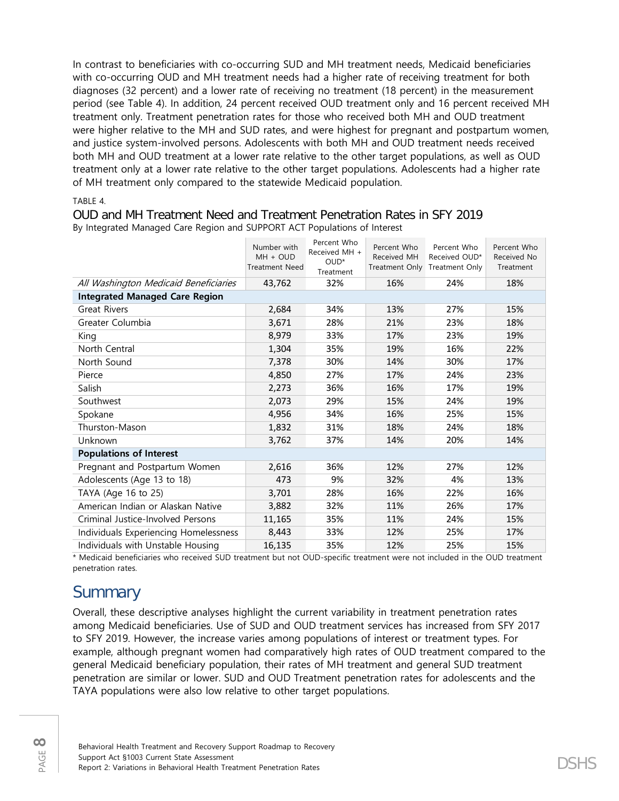In contrast to beneficiaries with co-occurring SUD and MH treatment needs, Medicaid beneficiaries with co-occurring OUD and MH treatment needs had a higher rate of receiving treatment for both diagnoses (32 percent) and a lower rate of receiving no treatment (18 percent) in the measurement period (see Table 4). In addition, 24 percent received OUD treatment only and 16 percent received MH treatment only. Treatment penetration rates for those who received both MH and OUD treatment were higher relative to the MH and SUD rates, and were highest for pregnant and postpartum women, and justice system-involved persons. Adolescents with both MH and OUD treatment needs received both MH and OUD treatment at a lower rate relative to the other target populations, as well as OUD treatment only at a lower rate relative to the other target populations. Adolescents had a higher rate of MH treatment only compared to the statewide Medicaid population.

TABLE 4.

OUD and MH Treatment Need and Treatment Penetration Rates in SFY 2019 By Integrated Managed Care Region and SUPPORT ACT Populations of Interest

|                                       | Number with<br>MH + OUD<br><b>Treatment Need</b> | Percent Who<br>Received MH +<br>OUD*<br>Treatment | Percent Who<br>Received MH | Percent Who<br>Received OUD*<br>Treatment Only Treatment Only | Percent Who<br>Received No<br>Treatment |
|---------------------------------------|--------------------------------------------------|---------------------------------------------------|----------------------------|---------------------------------------------------------------|-----------------------------------------|
| All Washington Medicaid Beneficiaries | 43,762                                           | 32%                                               | 16%                        | 24%                                                           | 18%                                     |
| <b>Integrated Managed Care Region</b> |                                                  |                                                   |                            |                                                               |                                         |
| <b>Great Rivers</b>                   | 2,684                                            | 34%                                               | 13%                        | 27%                                                           | 15%                                     |
| Greater Columbia                      | 3,671                                            | 28%                                               | 21%                        | 23%                                                           | 18%                                     |
| King                                  | 8,979                                            | 33%                                               | 17%                        | 23%                                                           | 19%                                     |
| North Central                         | 1,304                                            | 35%                                               | 19%                        | 16%                                                           | 22%                                     |
| North Sound                           | 7,378                                            | 30%                                               | 14%                        | 30%                                                           | 17%                                     |
| Pierce                                | 4,850                                            | 27%                                               | 17%                        | 24%                                                           | 23%                                     |
| Salish                                | 2,273                                            | 36%                                               | 16%                        | 17%                                                           | 19%                                     |
| Southwest                             | 2,073                                            | 29%                                               | 15%                        | 24%                                                           | 19%                                     |
| Spokane                               | 4,956                                            | 34%                                               | 16%                        | 25%                                                           | 15%                                     |
| Thurston-Mason                        | 1,832                                            | 31%                                               | 18%                        | 24%                                                           | 18%                                     |
| Unknown                               | 3,762                                            | 37%                                               | 14%                        | 20%                                                           | 14%                                     |
| <b>Populations of Interest</b>        |                                                  |                                                   |                            |                                                               |                                         |
| Pregnant and Postpartum Women         | 2,616                                            | 36%                                               | 12%                        | 27%                                                           | 12%                                     |
| Adolescents (Age 13 to 18)            | 473                                              | 9%                                                | 32%                        | 4%                                                            | 13%                                     |
| TAYA (Age 16 to 25)                   | 3,701                                            | 28%                                               | 16%                        | 22%                                                           | 16%                                     |
| American Indian or Alaskan Native     | 3,882                                            | 32%                                               | 11%                        | 26%                                                           | 17%                                     |
| Criminal Justice-Involved Persons     | 11,165                                           | 35%                                               | 11%                        | 24%                                                           | 15%                                     |
| Individuals Experiencing Homelessness | 8,443                                            | 33%                                               | 12%                        | 25%                                                           | 17%                                     |
| Individuals with Unstable Housing     | 16,135                                           | 35%                                               | 12%                        | 25%                                                           | 15%                                     |

\* Medicaid beneficiaries who received SUD treatment but not OUD-specific treatment were not included in the OUD treatment penetration rates.

# **Summary**

Overall, these descriptive analyses highlight the current variability in treatment penetration rates among Medicaid beneficiaries. Use of SUD and OUD treatment services has increased from SFY 2017 to SFY 2019. However, the increase varies among populations of interest or treatment types. For example, although pregnant women had comparatively high rates of OUD treatment compared to the general Medicaid beneficiary population, their rates of MH treatment and general SUD treatment penetration are similar or lower. SUD and OUD Treatment penetration rates for adolescents and the TAYA populations were also low relative to other target populations.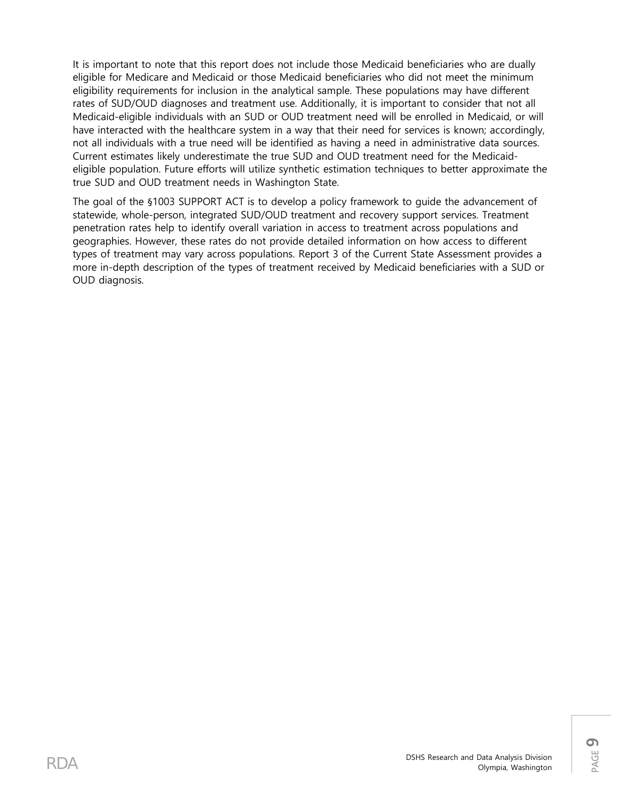It is important to note that this report does not include those Medicaid beneficiaries who are dually eligible for Medicare and Medicaid or those Medicaid beneficiaries who did not meet the minimum eligibility requirements for inclusion in the analytical sample. These populations may have different rates of SUD/OUD diagnoses and treatment use. Additionally, it is important to consider that not all Medicaid-eligible individuals with an SUD or OUD treatment need will be enrolled in Medicaid, or will have interacted with the healthcare system in a way that their need for services is known; accordingly, not all individuals with a true need will be identified as having a need in administrative data sources. Current estimates likely underestimate the true SUD and OUD treatment need for the Medicaideligible population. Future efforts will utilize synthetic estimation techniques to better approximate the true SUD and OUD treatment needs in Washington State.

The goal of the §1003 SUPPORT ACT is to develop a policy framework to guide the advancement of statewide, whole-person, integrated SUD/OUD treatment and recovery support services. Treatment penetration rates help to identify overall variation in access to treatment across populations and geographies. However, these rates do not provide detailed information on how access to different types of treatment may vary across populations. Report 3 of the Current State Assessment provides a more in-depth description of the types of treatment received by Medicaid beneficiaries with a SUD or OUD diagnosis.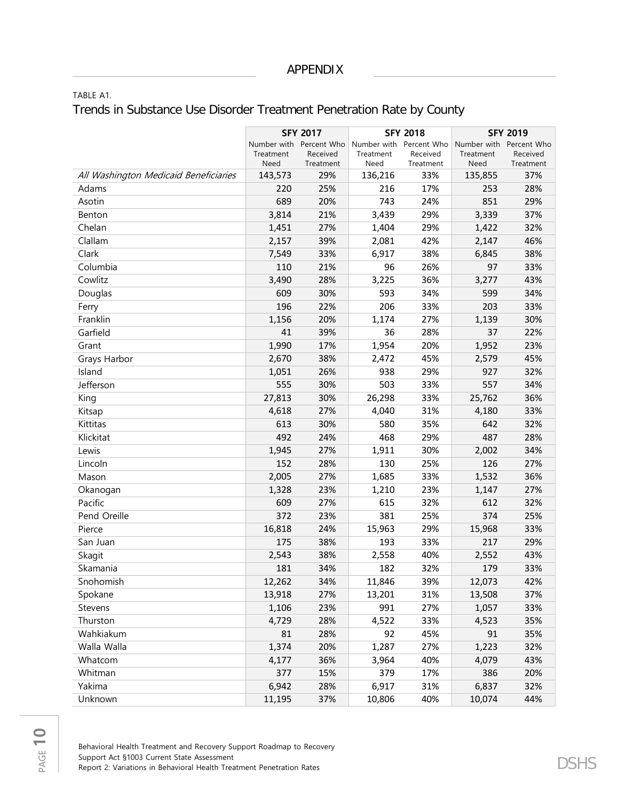TABLE A1.

### Trends in Substance Use Disorder Treatment Penetration Rate by County

|                                       | <b>SFY 2017</b> |                         |                         | <b>SFY 2018</b> | <b>SFY 2019</b> |             |
|---------------------------------------|-----------------|-------------------------|-------------------------|-----------------|-----------------|-------------|
|                                       |                 | Number with Percent Who | Number with Percent Who |                 | Number with     | Percent Who |
|                                       | Treatment       | Received                | Treatment               | Received        | Treatment       | Received    |
|                                       | Need            | Treatment               | Need                    | Treatment       | Need            | Treatment   |
| All Washington Medicaid Beneficiaries | 143,573         | 29%                     | 136,216                 | 33%             | 135,855         | 37%         |
| Adams                                 | 220             | 25%                     | 216                     | 17%             | 253             | 28%         |
| Asotin                                | 689             | 20%                     | 743                     | 24%             | 851             | 29%         |
| Benton                                | 3,814           | 21%                     | 3,439                   | 29%             | 3,339           | 37%         |
| Chelan                                | 1,451           | 27%                     | 1,404                   | 29%             | 1,422           | 32%         |
| Clallam                               | 2,157           | 39%                     | 2,081                   | 42%             | 2,147           | 46%         |
| Clark                                 | 7,549           | 33%                     | 6,917                   | 38%             | 6,845           | 38%         |
| Columbia                              | 110             | 21%                     | 96                      | 26%             | 97              | 33%         |
| Cowlitz                               | 3,490           | 28%                     | 3,225                   | 36%             | 3,277           | 43%         |
| Douglas                               | 609             | 30%                     | 593                     | 34%             | 599             | 34%         |
| Ferry                                 | 196             | 22%                     | 206                     | 33%             | 203             | 33%         |
| Franklin                              | 1,156           | 20%                     | 1,174                   | 27%             | 1,139           | 30%         |
| Garfield                              | 41              | 39%                     | 36                      | 28%             | 37              | 22%         |
| Grant                                 | 1,990           | 17%                     | 1,954                   | 20%             | 1,952           | 23%         |
| Grays Harbor                          | 2,670           | 38%                     | 2,472                   | 45%             | 2,579           | 45%         |
| Island                                | 1,051           | 26%                     | 938                     | 29%             | 927             | 32%         |
| Jefferson                             | 555             | 30%                     | 503                     | 33%             | 557             | 34%         |
| King                                  | 27,813          | 30%                     | 26,298                  | 33%             | 25,762          | 36%         |
| Kitsap                                | 4,618           | 27%                     | 4,040                   | 31%             | 4,180           | 33%         |
| Kittitas                              | 613             | 30%                     | 580                     | 35%             | 642             | 32%         |
| Klickitat                             | 492             | 24%                     | 468                     | 29%             | 487             | 28%         |
| Lewis                                 | 1,945           | 27%                     | 1,911                   | 30%             | 2,002           | 34%         |
| Lincoln                               | 152             | 28%                     | 130                     | 25%             | 126             | 27%         |
| Mason                                 | 2,005           | 27%                     | 1,685                   | 33%             | 1,532           | 36%         |
| Okanogan                              | 1,328           | 23%                     | 1,210                   | 23%             | 1,147           | 27%         |
| Pacific                               | 609             | 27%                     | 615                     | 32%             | 612             | 32%         |
| Pend Oreille                          | 372             | 23%                     | 381                     | 25%             | 374             | 25%         |
| Pierce                                | 16,818          | 24%                     | 15,963                  | 29%             | 15,968          | 33%         |
| San Juan                              | 175             | 38%                     | 193                     | 33%             | 217             | 29%         |
| Skagit                                | 2,543           | 38%                     | 2,558                   | 40%             | 2,552           | 43%         |
| Skamania                              | 181             | 34%                     | 182                     | 32%             | 179             | 33%         |
| Snohomish                             | 12,262          | 34%                     | 11,846                  | 39%             | 12,073          | 42%         |
| Spokane                               | 13,918          | 27%                     | 13,201                  | 31%             | 13,508          | 37%         |
| Stevens                               | 1,106           | 23%                     | 991                     | 27%             | 1,057           | 33%         |
| Thurston                              | 4,729           | 28%                     | 4,522                   | 33%             | 4,523           | 35%         |
| Wahkiakum                             | 81              | 28%                     | 92                      | 45%             | 91              | 35%         |
| Walla Walla                           | 1,374           | 20%                     | 1,287                   | 27%             | 1,223           | 32%         |
| Whatcom                               | 4,177           | 36%                     | 3,964                   | 40%             | 4,079           | 43%         |
| Whitman                               | 377             | 15%                     | 379                     | 17%             | 386             | 20%         |
| Yakima                                | 6,942           | 28%                     | 6,917                   | 31%             | 6,837           | 32%         |
| Unknown                               | 11,195          | 37%                     | 10,806                  | 40%             | 10,074          | 44%         |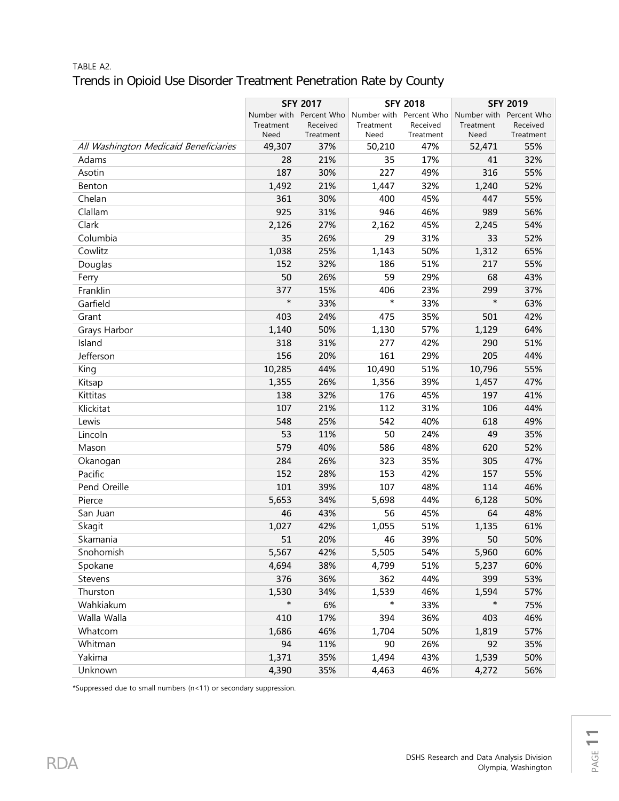### TABLE A2. Trends in Opioid Use Disorder Treatment Penetration Rate by County

|                                       | <b>SFY 2017</b> |                                     |           |                                     | <b>SFY 2019</b> |                                     |  |
|---------------------------------------|-----------------|-------------------------------------|-----------|-------------------------------------|-----------------|-------------------------------------|--|
|                                       |                 |                                     |           | <b>SFY 2018</b>                     |                 |                                     |  |
|                                       | Treatment       | Number with Percent Who<br>Received | Treatment | Number with Percent Who<br>Received | Treatment       | Number with Percent Who<br>Received |  |
|                                       | Need            | Treatment                           | Need      | Treatment                           | Need            | Treatment                           |  |
| All Washington Medicaid Beneficiaries | 49,307          | 37%                                 | 50,210    | 47%                                 | 52,471          | 55%                                 |  |
| Adams                                 | 28              | 21%                                 | 35        | 17%                                 | 41              | 32%                                 |  |
| Asotin                                | 187             | 30%                                 | 227       | 49%                                 | 316             | 55%                                 |  |
| Benton                                | 1,492           | 21%                                 | 1,447     | 32%                                 | 1,240           | 52%                                 |  |
| Chelan                                | 361             | 30%                                 | 400       | 45%                                 | 447             | 55%                                 |  |
| Clallam                               | 925             | 31%                                 | 946       | 46%                                 | 989             | 56%                                 |  |
| Clark                                 | 2,126           | 27%                                 | 2,162     | 45%                                 | 2,245           | 54%                                 |  |
| Columbia                              | 35              | 26%                                 | 29        | 31%                                 | 33              | 52%                                 |  |
| Cowlitz                               | 1,038           | 25%                                 | 1,143     | 50%                                 | 1,312           | 65%                                 |  |
| Douglas                               | 152             | 32%                                 | 186       | 51%                                 | 217             | 55%                                 |  |
| Ferry                                 | 50              | 26%                                 | 59        | 29%                                 | 68              | 43%                                 |  |
| Franklin                              | 377             | 15%                                 | 406       | 23%                                 | 299             | 37%                                 |  |
| Garfield                              | $\ast$          | 33%                                 | $\ast$    | 33%                                 | $\ast$          | 63%                                 |  |
| Grant                                 | 403             | 24%                                 | 475       | 35%                                 | 501             | 42%                                 |  |
| Grays Harbor                          | 1,140           | 50%                                 | 1,130     | 57%                                 | 1,129           | 64%                                 |  |
| Island                                | 318             | 31%                                 | 277       | 42%                                 | 290             | 51%                                 |  |
| Jefferson                             | 156             | 20%                                 | 161       | 29%                                 | 205             | 44%                                 |  |
| King                                  | 10,285          | 44%                                 | 10,490    | 51%                                 | 10,796          | 55%                                 |  |
| Kitsap                                | 1,355           | 26%                                 | 1,356     | 39%                                 | 1,457           | 47%                                 |  |
| Kittitas                              | 138             | 32%                                 | 176       | 45%                                 | 197             | 41%                                 |  |
| Klickitat                             | 107             | 21%                                 | 112       | 31%                                 | 106             | 44%                                 |  |
| Lewis                                 | 548             | 25%                                 | 542       | 40%                                 | 618             | 49%                                 |  |
| Lincoln                               | 53              | 11%                                 | 50        | 24%                                 | 49              | 35%                                 |  |
| Mason                                 | 579             | 40%                                 | 586       | 48%                                 | 620             | 52%                                 |  |
| Okanogan                              | 284             | 26%                                 | 323       | 35%                                 | 305             | 47%                                 |  |
| Pacific                               | 152             | 28%                                 | 153       | 42%                                 | 157             | 55%                                 |  |
| Pend Oreille                          | 101             | 39%                                 | 107       | 48%                                 | 114             | 46%                                 |  |
| Pierce                                | 5,653           | 34%                                 | 5,698     | 44%                                 | 6,128           | 50%                                 |  |
| San Juan                              | 46              | 43%                                 | 56        | 45%                                 | 64              | 48%                                 |  |
| Skagit                                | 1,027           | 42%                                 | 1,055     | 51%                                 | 1,135           | 61%                                 |  |
| Skamania                              | 51              | 20%                                 | 46        | 39%                                 | 50              | 50%                                 |  |
| Snohomish                             | 5,567           | 42%                                 | 5,505     | 54%                                 | 5,960           | 60%                                 |  |
| Spokane                               | 4,694           | 38%                                 | 4,799     | 51%                                 | 5,237           | 60%                                 |  |
| Stevens                               | 376             | 36%                                 | 362       | 44%                                 | 399             | 53%                                 |  |
| Thurston                              | 1,530           | 34%                                 | 1,539     | 46%                                 | 1,594           | 57%                                 |  |
| Wahkiakum                             | $\ast$          | 6%                                  | *         | 33%                                 | $\ast$          | 75%                                 |  |
| Walla Walla                           | 410             | 17%                                 | 394       | 36%                                 | 403             | 46%                                 |  |
| Whatcom                               | 1,686           | 46%                                 | 1,704     | 50%                                 | 1,819           | 57%                                 |  |
| Whitman                               | 94              | 11%                                 | 90        | 26%                                 | 92              | 35%                                 |  |
| Yakima                                | 1,371           | 35%                                 | 1,494     | 43%                                 | 1,539           | 50%                                 |  |
| Unknown                               | 4,390           | 35%                                 | 4,463     | 46%                                 | 4,272           | 56%                                 |  |

\*Suppressed due to small numbers (n<11) or secondary suppression.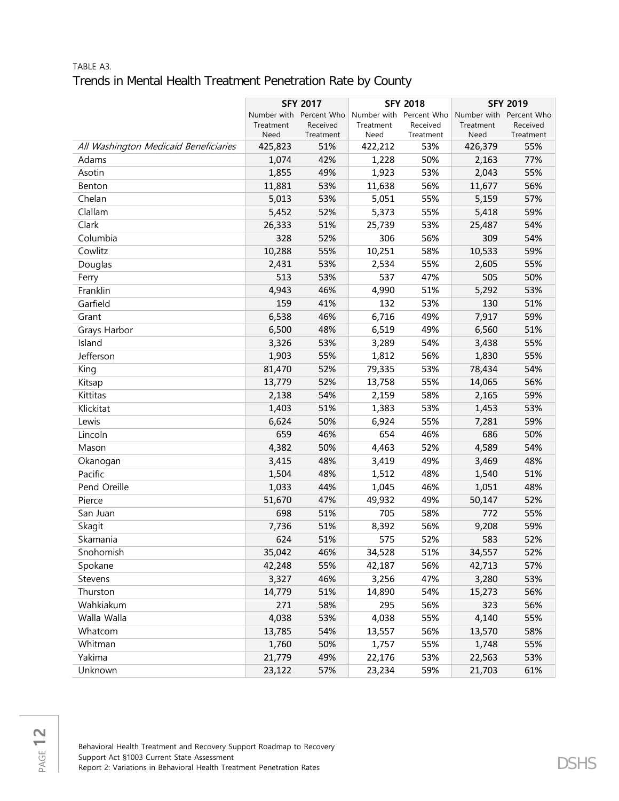### TABLE A3. Trends in Mental Health Treatment Penetration Rate by County

|                                       |                   |                         | <b>SFY 2018</b> |                         | <b>SFY 2019</b>         |                       |
|---------------------------------------|-------------------|-------------------------|-----------------|-------------------------|-------------------------|-----------------------|
|                                       |                   | <b>SFY 2017</b>         |                 |                         |                         |                       |
|                                       |                   | Number with Percent Who | Treatment       | Number with Percent Who | Number with Percent Who |                       |
|                                       | Treatment<br>Need | Received<br>Treatment   | Need            | Received<br>Treatment   | Treatment<br>Need       | Received<br>Treatment |
| All Washington Medicaid Beneficiaries | 425,823           | 51%                     | 422,212         | 53%                     | 426,379                 | 55%                   |
| Adams                                 | 1,074             | 42%                     | 1,228           | 50%                     | 2,163                   | 77%                   |
| Asotin                                | 1,855             | 49%                     | 1,923           | 53%                     | 2,043                   | 55%                   |
| Benton                                | 11,881            | 53%                     | 11,638          | 56%                     | 11,677                  | 56%                   |
| Chelan                                | 5,013             | 53%                     | 5,051           | 55%                     | 5,159                   | 57%                   |
| Clallam                               | 5,452             | 52%                     | 5,373           | 55%                     | 5,418                   | 59%                   |
| Clark                                 | 26,333            | 51%                     | 25,739          | 53%                     | 25,487                  | 54%                   |
| Columbia                              | 328               | 52%                     | 306             | 56%                     | 309                     | 54%                   |
| Cowlitz                               | 10,288            | 55%                     | 10,251          | 58%                     | 10,533                  | 59%                   |
| Douglas                               | 2,431             | 53%                     | 2,534           | 55%                     | 2,605                   | 55%                   |
| Ferry                                 | 513               | 53%                     | 537             | 47%                     | 505                     | 50%                   |
| Franklin                              | 4,943             | 46%                     | 4,990           | 51%                     | 5,292                   | 53%                   |
| Garfield                              | 159               | 41%                     | 132             | 53%                     | 130                     | 51%                   |
| Grant                                 | 6,538             | 46%                     | 6,716           | 49%                     | 7,917                   | 59%                   |
| Grays Harbor                          | 6,500             | 48%                     | 6,519           | 49%                     | 6,560                   | 51%                   |
| Island                                | 3,326             | 53%                     | 3,289           | 54%                     | 3,438                   | 55%                   |
| Jefferson                             | 1,903             | 55%                     | 1,812           | 56%                     | 1,830                   | 55%                   |
| King                                  | 81,470            | 52%                     | 79,335          | 53%                     | 78,434                  | 54%                   |
| Kitsap                                | 13,779            | 52%                     | 13,758          | 55%                     | 14,065                  | 56%                   |
| Kittitas                              | 2,138             | 54%                     | 2,159           | 58%                     | 2,165                   | 59%                   |
| Klickitat                             | 1,403             | 51%                     | 1,383           | 53%                     | 1,453                   | 53%                   |
| Lewis                                 | 6,624             | 50%                     | 6,924           | 55%                     | 7,281                   | 59%                   |
| Lincoln                               | 659               | 46%                     | 654             | 46%                     | 686                     | 50%                   |
| Mason                                 | 4,382             | 50%                     | 4,463           | 52%                     | 4,589                   | 54%                   |
| Okanogan                              | 3,415             | 48%                     | 3,419           | 49%                     | 3,469                   | 48%                   |
| Pacific                               | 1,504             | 48%                     | 1,512           | 48%                     | 1,540                   | 51%                   |
| Pend Oreille                          | 1,033             | 44%                     | 1,045           | 46%                     | 1,051                   | 48%                   |
| Pierce                                | 51,670            | 47%                     | 49,932          | 49%                     | 50,147                  | 52%                   |
| San Juan                              | 698               | 51%                     | 705             | 58%                     | 772                     | 55%                   |
| Skagit                                | 7,736             | 51%                     | 8,392           | 56%                     | 9,208                   | 59%                   |
| Skamania                              | 624               | 51%                     | 575             | 52%                     | 583                     | 52%                   |
| Snohomish                             | 35,042            | 46%                     | 34,528          | 51%                     | 34,557                  | 52%                   |
| Spokane                               | 42,248            | 55%                     | 42,187          | 56%                     | 42,713                  | 57%                   |
| Stevens                               | 3,327             | 46%                     | 3,256           | 47%                     | 3,280                   | 53%                   |
| Thurston                              | 14,779            | 51%                     | 14,890          | 54%                     | 15,273                  | 56%                   |
| Wahkiakum                             | 271               | 58%                     | 295             | 56%                     | 323                     | 56%                   |
| Walla Walla                           | 4,038             | 53%                     | 4,038           | 55%                     | 4,140                   | 55%                   |
| Whatcom                               | 13,785            | 54%                     | 13,557          | 56%                     | 13,570                  | 58%                   |
| Whitman                               | 1,760             | 50%                     | 1,757           | 55%                     | 1,748                   | 55%                   |
| Yakima                                | 21,779            | 49%                     | 22,176          | 53%                     | 22,563                  | 53%                   |
| Unknown                               | 23,122            | 57%                     | 23,234          | 59%                     | 21,703                  | 61%                   |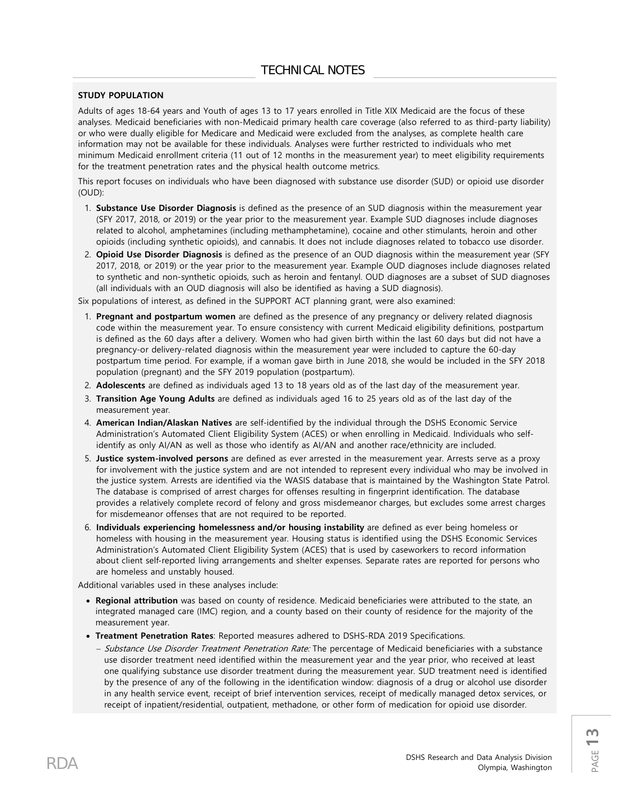#### **STUDY POPULATION**

Adults of ages 18-64 years and Youth of ages 13 to 17 years enrolled in Title XIX Medicaid are the focus of these analyses. Medicaid beneficiaries with non-Medicaid primary health care coverage (also referred to as third-party liability) or who were dually eligible for Medicare and Medicaid were excluded from the analyses, as complete health care information may not be available for these individuals. Analyses were further restricted to individuals who met minimum Medicaid enrollment criteria (11 out of 12 months in the measurement year) to meet eligibility requirements for the treatment penetration rates and the physical health outcome metrics.

This report focuses on individuals who have been diagnosed with substance use disorder (SUD) or opioid use disorder (OUD):

- 1. **Substance Use Disorder Diagnosis** is defined as the presence of an SUD diagnosis within the measurement year (SFY 2017, 2018, or 2019) or the year prior to the measurement year. Example SUD diagnoses include diagnoses related to alcohol, amphetamines (including methamphetamine), cocaine and other stimulants, heroin and other opioids (including synthetic opioids), and cannabis. It does not include diagnoses related to tobacco use disorder.
- 2. **Opioid Use Disorder Diagnosis** is defined as the presence of an OUD diagnosis within the measurement year (SFY 2017, 2018, or 2019) or the year prior to the measurement year. Example OUD diagnoses include diagnoses related to synthetic and non-synthetic opioids, such as heroin and fentanyl. OUD diagnoses are a subset of SUD diagnoses (all individuals with an OUD diagnosis will also be identified as having a SUD diagnosis).

Six populations of interest, as defined in the SUPPORT ACT planning grant, were also examined:

- 1. **Pregnant and postpartum women** are defined as the presence of any pregnancy or delivery related diagnosis code within the measurement year. To ensure consistency with current Medicaid eligibility definitions, postpartum is defined as the 60 days after a delivery. Women who had given birth within the last 60 days but did not have a pregnancy-or delivery-related diagnosis within the measurement year were included to capture the 60-day postpartum time period. For example, if a woman gave birth in June 2018, she would be included in the SFY 2018 population (pregnant) and the SFY 2019 population (postpartum).
- 2. **Adolescents** are defined as individuals aged 13 to 18 years old as of the last day of the measurement year.
- 3. **Transition Age Young Adults** are defined as individuals aged 16 to 25 years old as of the last day of the measurement year.
- 4. **American Indian/Alaskan Natives** are self-identified by the individual through the DSHS Economic Service Administration's Automated Client Eligibility System (ACES) or when enrolling in Medicaid. Individuals who selfidentify as only AI/AN as well as those who identify as AI/AN and another race/ethnicity are included.
- 5. **Justice system-involved persons** are defined as ever arrested in the measurement year. Arrests serve as a proxy for involvement with the justice system and are not intended to represent every individual who may be involved in the justice system. Arrests are identified via the WASIS database that is maintained by the Washington State Patrol. The database is comprised of arrest charges for offenses resulting in fingerprint identification. The database provides a relatively complete record of felony and gross misdemeanor charges, but excludes some arrest charges for misdemeanor offenses that are not required to be reported.
- 6. **Individuals experiencing homelessness and/or housing instability** are defined as ever being homeless or homeless with housing in the measurement year. Housing status is identified using the DSHS Economic Services Administration's Automated Client Eligibility System (ACES) that is used by caseworkers to record information about client self-reported living arrangements and shelter expenses. Separate rates are reported for persons who are homeless and unstably housed.

Additional variables used in these analyses include:

- **Regional attribution** was based on county of residence. Medicaid beneficiaries were attributed to the state, an integrated managed care (IMC) region, and a county based on their county of residence for the majority of the measurement year.
- **Treatment Penetration Rates**: Reported measures adhered to DSHS-RDA 2019 Specifications.
	- − Substance Use Disorder Treatment Penetration Rate: The percentage of Medicaid beneficiaries with a substance use disorder treatment need identified within the measurement year and the year prior, who received at least one qualifying substance use disorder treatment during the measurement year. SUD treatment need is identified by the presence of any of the following in the identification window: diagnosis of a drug or alcohol use disorder in any health service event, receipt of brief intervention services, receipt of medically managed detox services, or receipt of inpatient/residential, outpatient, methadone, or other form of medication for opioid use disorder.